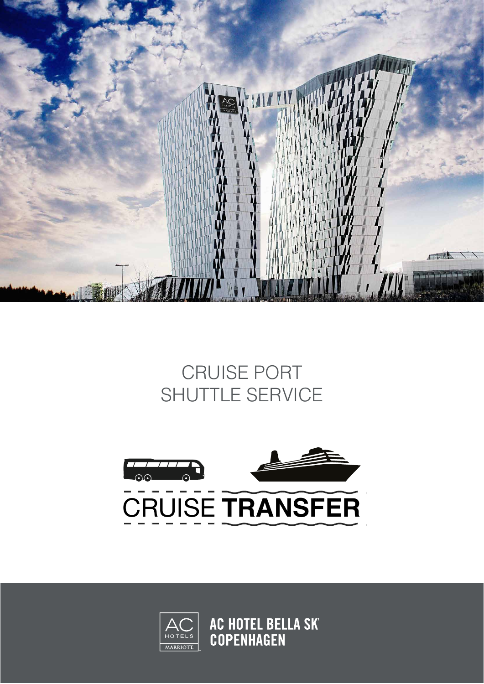

## CRUISE PORT SHUTTLE SERVICE





**AC HOTEL BELLA SK<br>COPENHAGEN**